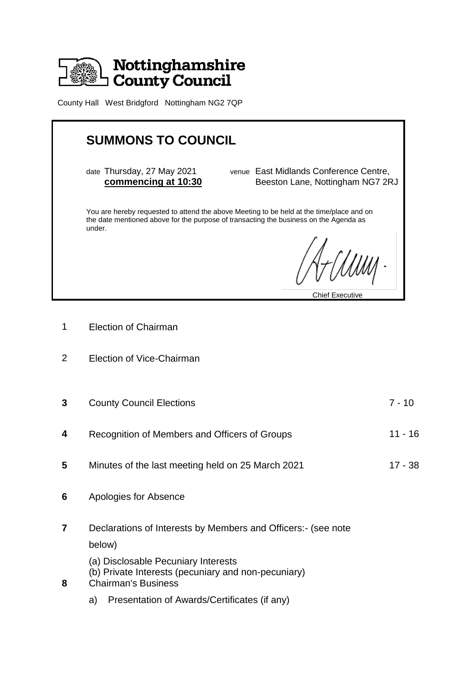

County Hall West Bridgford Nottingham NG2 7QP

| <b>SUMMONS TO COUNCIL</b>                                                                                                                                                                   |                                                                            |
|---------------------------------------------------------------------------------------------------------------------------------------------------------------------------------------------|----------------------------------------------------------------------------|
| date Thursday, 27 May 2021<br>commencing at 10:30                                                                                                                                           | venue East Midlands Conference Centre,<br>Beeston Lane, Nottingham NG7 2RJ |
| You are hereby requested to attend the above Meeting to be held at the time/place and on<br>the date mentioned above for the purpose of transacting the business on the Agenda as<br>under. |                                                                            |
|                                                                                                                                                                                             | A-Climi                                                                    |
|                                                                                                                                                                                             | <b>Chief Executive</b>                                                     |

1 Election of Chairman

Ξ

- 2 Election of Vice-Chairman
- **3** County Council Elections 7 10 **4** Recognition of Members and Officers of Groups 11 - 16
- **5** Minutes of the last meeting held on 25 March 2021 17 38
- **6** Apologies for Absence
- **7** Declarations of Interests by Members and Officers:- (see note below)
	- (a) Disclosable Pecuniary Interests
	- (b) Private Interests (pecuniary and non-pecuniary)
- **8** Chairman's Business
	- a) Presentation of Awards/Certificates (if any)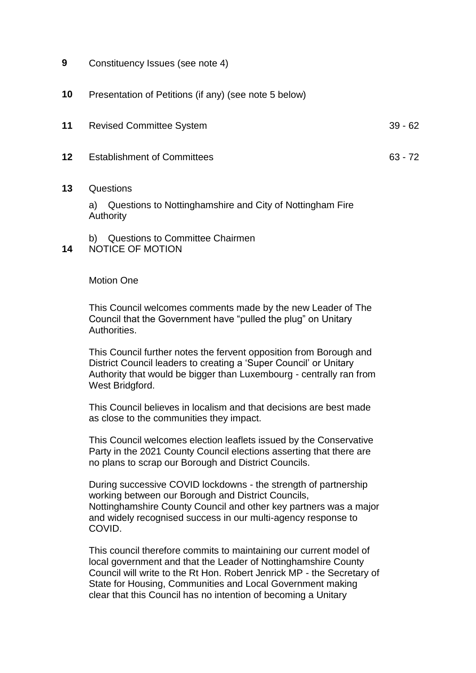- **9** Constituency Issues (see note 4)
- **10** Presentation of Petitions (if any) (see note 5 below)
- **11** Revised Committee System 39 62
- **12** Establishment of Committees 63 72
- **13** Questions

a) Questions to Nottinghamshire and City of Nottingham Fire Authority

b) Questions to Committee Chairmen

**14** NOTICE OF MOTION

## Motion One

This Council welcomes comments made by the new Leader of The Council that the Government have "pulled the plug" on Unitary Authorities.

This Council further notes the fervent opposition from Borough and District Council leaders to creating a 'Super Council' or Unitary Authority that would be bigger than Luxembourg - centrally ran from West Bridgford.

This Council believes in localism and that decisions are best made as close to the communities they impact.

This Council welcomes election leaflets issued by the Conservative Party in the 2021 County Council elections asserting that there are no plans to scrap our Borough and District Councils.

During successive COVID lockdowns - the strength of partnership working between our Borough and District Councils, Nottinghamshire County Council and other key partners was a major and widely recognised success in our multi-agency response to COVID.

This council therefore commits to maintaining our current model of local government and that the Leader of Nottinghamshire County Council will write to the Rt Hon. Robert Jenrick MP - the Secretary of State for Housing, Communities and Local Government making clear that this Council has no intention of becoming a Unitary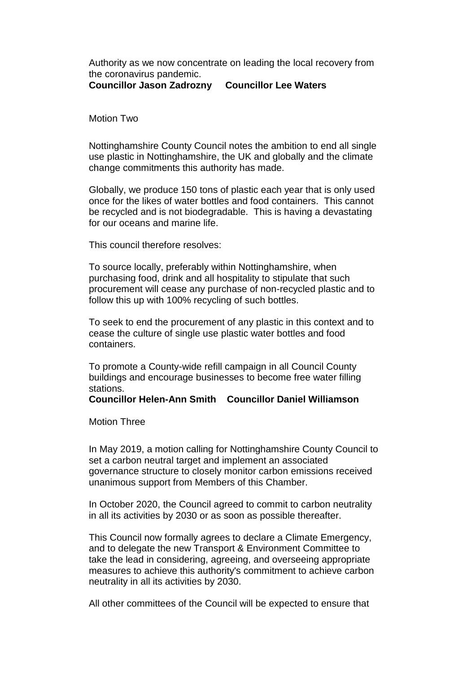Authority as we now concentrate on leading the local recovery from the coronavirus pandemic.

**Councillor Jason Zadrozny Councillor Lee Waters**

Motion Two

Nottinghamshire County Council notes the ambition to end all single use plastic in Nottinghamshire, the UK and globally and the climate change commitments this authority has made.

Globally, we produce 150 tons of plastic each year that is only used once for the likes of water bottles and food containers. This cannot be recycled and is not biodegradable. This is having a devastating for our oceans and marine life.

This council therefore resolves:

To source locally, preferably within Nottinghamshire, when purchasing food, drink and all hospitality to stipulate that such procurement will cease any purchase of non-recycled plastic and to follow this up with 100% recycling of such bottles.

To seek to end the procurement of any plastic in this context and to cease the culture of single use plastic water bottles and food containers.

To promote a County-wide refill campaign in all Council County buildings and encourage businesses to become free water filling stations.

**Councillor Helen-Ann Smith Councillor Daniel Williamson**

Motion Three

In May 2019, a motion calling for Nottinghamshire County Council to set a carbon neutral target and implement an associated governance structure to closely monitor carbon emissions received unanimous support from Members of this Chamber.

In October 2020, the Council agreed to commit to carbon neutrality in all its activities by 2030 or as soon as possible thereafter.

This Council now formally agrees to declare a Climate Emergency, and to delegate the new Transport & Environment Committee to take the lead in considering, agreeing, and overseeing appropriate measures to achieve this authority's commitment to achieve carbon neutrality in all its activities by 2030.

All other committees of the Council will be expected to ensure that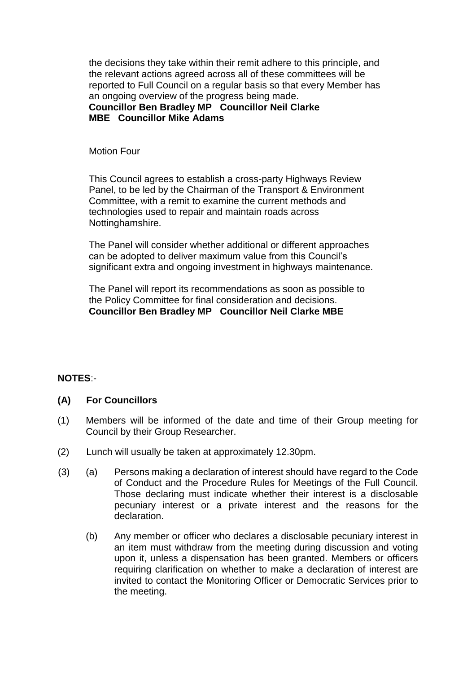the decisions they take within their remit adhere to this principle, and the relevant actions agreed across all of these committees will be reported to Full Council on a regular basis so that every Member has an ongoing overview of the progress being made.

**Councillor Ben Bradley MP Councillor Neil Clarke MBE Councillor Mike Adams**

Motion Four

This Council agrees to establish a cross-party Highways Review Panel, to be led by the Chairman of the Transport & Environment Committee, with a remit to examine the current methods and technologies used to repair and maintain roads across Nottinghamshire.

The Panel will consider whether additional or different approaches can be adopted to deliver maximum value from this Council's significant extra and ongoing investment in highways maintenance.

The Panel will report its recommendations as soon as possible to the Policy Committee for final consideration and decisions. **Councillor Ben Bradley MP Councillor Neil Clarke MBE**

## **NOTES**:-

## **(A) For Councillors**

- (1) Members will be informed of the date and time of their Group meeting for Council by their Group Researcher.
- (2) Lunch will usually be taken at approximately 12.30pm.
- (3) (a) Persons making a declaration of interest should have regard to the Code of Conduct and the Procedure Rules for Meetings of the Full Council. Those declaring must indicate whether their interest is a disclosable pecuniary interest or a private interest and the reasons for the declaration.
	- (b) Any member or officer who declares a disclosable pecuniary interest in an item must withdraw from the meeting during discussion and voting upon it, unless a dispensation has been granted. Members or officers requiring clarification on whether to make a declaration of interest are invited to contact the Monitoring Officer or Democratic Services prior to the meeting.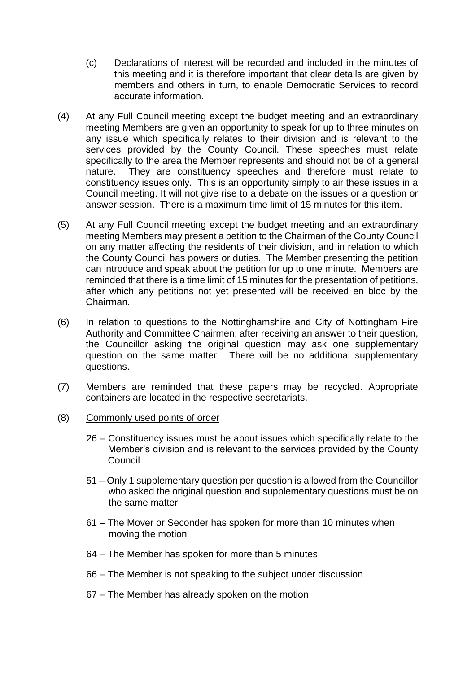- (c) Declarations of interest will be recorded and included in the minutes of this meeting and it is therefore important that clear details are given by members and others in turn, to enable Democratic Services to record accurate information.
- (4) At any Full Council meeting except the budget meeting and an extraordinary meeting Members are given an opportunity to speak for up to three minutes on any issue which specifically relates to their division and is relevant to the services provided by the County Council. These speeches must relate specifically to the area the Member represents and should not be of a general nature. They are constituency speeches and therefore must relate to constituency issues only. This is an opportunity simply to air these issues in a Council meeting. It will not give rise to a debate on the issues or a question or answer session. There is a maximum time limit of 15 minutes for this item.
- (5) At any Full Council meeting except the budget meeting and an extraordinary meeting Members may present a petition to the Chairman of the County Council on any matter affecting the residents of their division, and in relation to which the County Council has powers or duties. The Member presenting the petition can introduce and speak about the petition for up to one minute. Members are reminded that there is a time limit of 15 minutes for the presentation of petitions, after which any petitions not yet presented will be received en bloc by the Chairman.
- (6) In relation to questions to the Nottinghamshire and City of Nottingham Fire Authority and Committee Chairmen; after receiving an answer to their question, the Councillor asking the original question may ask one supplementary question on the same matter. There will be no additional supplementary questions.
- (7) Members are reminded that these papers may be recycled. Appropriate containers are located in the respective secretariats.
- (8) Commonly used points of order
	- 26 Constituency issues must be about issues which specifically relate to the Member's division and is relevant to the services provided by the County Council
	- 51 Only 1 supplementary question per question is allowed from the Councillor who asked the original question and supplementary questions must be on the same matter
	- 61 The Mover or Seconder has spoken for more than 10 minutes when moving the motion
	- 64 The Member has spoken for more than 5 minutes
	- 66 The Member is not speaking to the subject under discussion
	- 67 The Member has already spoken on the motion